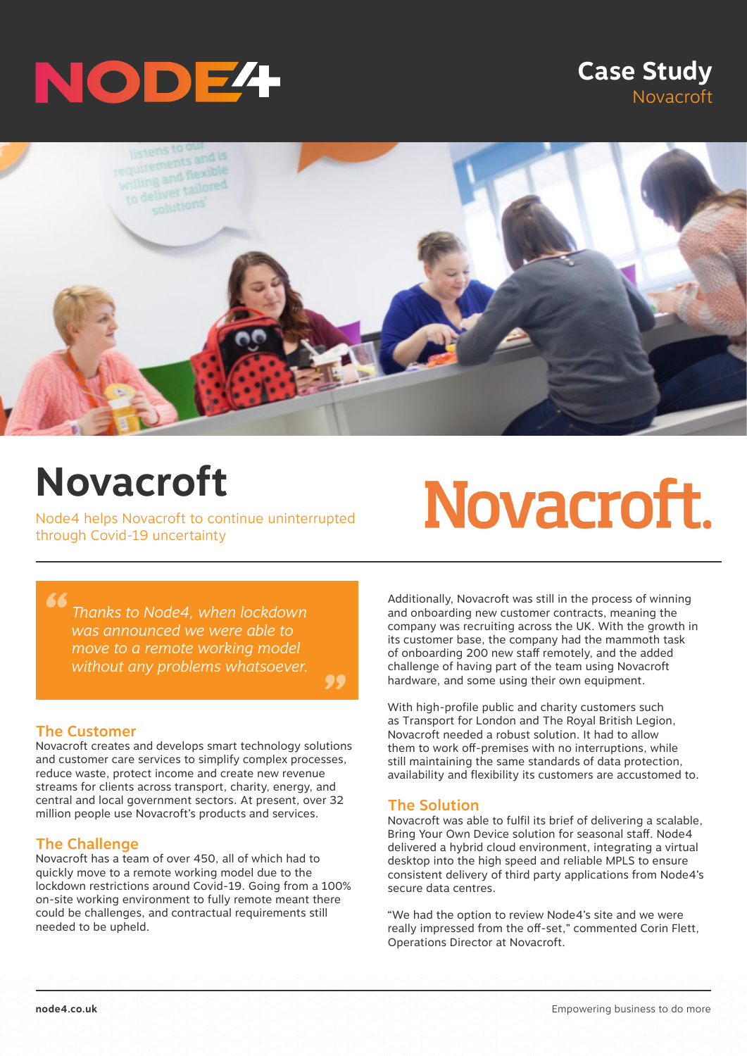

### **Case Study** Novacroft



*"*

## **Novacroft**

Node4 helps Novacroft to continue uninterrupted through Covid-19 uncertainty

# Novacroft.

*Thanks to Node4, when lockdown was announced we were able to move to a remote working model without any problems whatsoever.*

#### The Customer

*"*

Novacroft creates and develops smart technology solutions and customer care services to simplify complex processes, reduce waste, protect income and create new revenue streams for clients across transport, charity, energy, and central and local government sectors. At present, over 32 million people use Novacroft's products and services.

#### The Challenge

Novacroft has a team of over 450, all of which had to quickly move to a remote working model due to the lockdown restrictions around Covid-19. Going from a 100% on-site working environment to fully remote meant there could be challenges, and contractual requirements still needed to be upheld.

Additionally, Novacroft was still in the process of winning and onboarding new customer contracts, meaning the company was recruiting across the UK. With the growth in its customer base, the company had the mammoth task of onboarding 200 new staff remotely, and the added challenge of having part of the team using Novacroft hardware, and some using their own equipment.

With high-profile public and charity customers such as Transport for London and The Royal British Legion, Novacroft needed a robust solution. It had to allow them to work off-premises with no interruptions, while still maintaining the same standards of data protection, availability and flexibility its customers are accustomed to.

#### The Solution

Novacroft was able to fulfil its brief of delivering a scalable, Bring Your Own Device solution for seasonal staff. Node4 delivered a hybrid cloud environment, integrating a virtual desktop into the high speed and reliable MPLS to ensure consistent delivery of third party applications from Node4's secure data centres.

"We had the option to review Node4's site and we were really impressed from the off-set," commented Corin Flett, Operations Director at Novacroft.